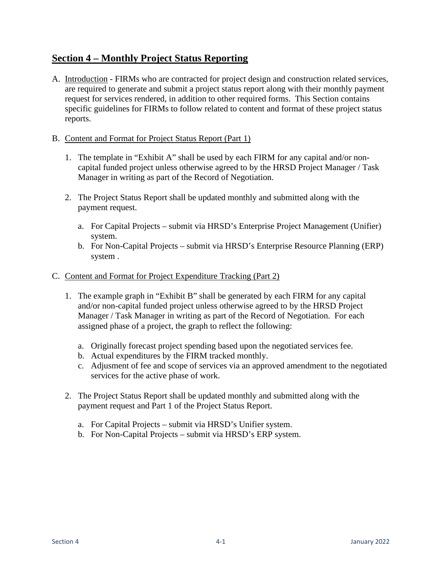# **Section 4 – Monthly Project Status Reporting**

- A. Introduction FIRMs who are contracted for project design and construction related services, are required to generate and submit a project status report along with their monthly payment request for services rendered, in addition to other required forms. This Section contains specific guidelines for FIRMs to follow related to content and format of these project status reports.
- B. Content and Format for Project Status Report (Part 1)
	- 1. The template in "Exhibit A" shall be used by each FIRM for any capital and/or noncapital funded project unless otherwise agreed to by the HRSD Project Manager / Task Manager in writing as part of the Record of Negotiation.
	- 2. The Project Status Report shall be updated monthly and submitted along with the payment request.
		- a. For Capital Projects submit via HRSD's Enterprise Project Management (Unifier) system.
		- b. For Non-Capital Projects submit via HRSD's Enterprise Resource Planning (ERP) system .

# C. Content and Format for Project Expenditure Tracking (Part 2)

- 1. The example graph in "Exhibit B" shall be generated by each FIRM for any capital and/or non-capital funded project unless otherwise agreed to by the HRSD Project Manager / Task Manager in writing as part of the Record of Negotiation. For each assigned phase of a project, the graph to reflect the following:
	- a. Originally forecast project spending based upon the negotiated services fee.
	- b. Actual expenditures by the FIRM tracked monthly.
	- c. Adjusment of fee and scope of services via an approved amendment to the negotiated services for the active phase of work.
- 2. The Project Status Report shall be updated monthly and submitted along with the payment request and Part 1 of the Project Status Report.
	- a. For Capital Projects submit via HRSD's Unifier system.
	- b. For Non-Capital Projects submit via HRSD's ERP system.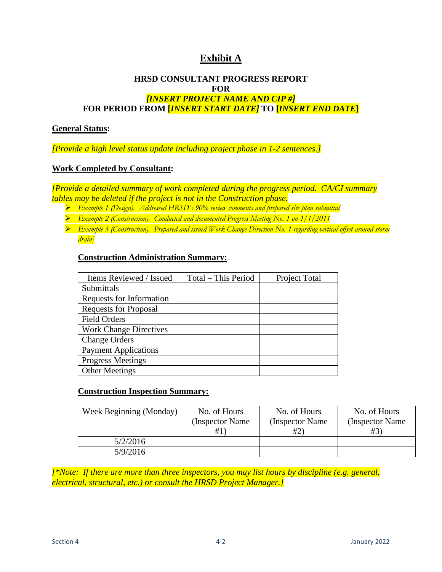# **Exhibit A**

## **HRSD CONSULTANT PROGRESS REPORT FOR** *[INSERT PROJECT NAME AND CIP #]*  **FOR PERIOD FROM [***INSERT START DATE]* **TO [***INSERT END DATE***]**

#### **General Status:**

*[Provide a high level status update including project phase in 1-2 sentences.]* 

#### **Work Completed by Consultant:**

*[Provide a detailed summary of work completed during the progress period. CA/CI summary tables may be deleted if the project is not in the Construction phase.* 

- *Example 1 (Design). Addressed HRSD's 90% review comments and prepared site plan submittal*
- *Example 2 (Construction). Conducted and documented Progress Meeting No. 1 on 1/1/2011*

 *Example 3 (Construction). Prepared and issued Work Change Direction No. 1 regarding vertical offset around storm drain]* 

#### **Construction Administration Summary:**

| Items Reviewed / Issued       | Total – This Period | Project Total |
|-------------------------------|---------------------|---------------|
| Submittals                    |                     |               |
| Requests for Information      |                     |               |
| <b>Requests for Proposal</b>  |                     |               |
| <b>Field Orders</b>           |                     |               |
| <b>Work Change Directives</b> |                     |               |
| <b>Change Orders</b>          |                     |               |
| <b>Payment Applications</b>   |                     |               |
| <b>Progress Meetings</b>      |                     |               |
| <b>Other Meetings</b>         |                     |               |

## **Construction Inspection Summary:**

| Week Beginning (Monday) | No. of Hours     | No. of Hours     | No. of Hours     |
|-------------------------|------------------|------------------|------------------|
|                         | (Inspector Name) | (Inspector Name) | (Inspector Name) |
|                         | #1               | #2)              | #3)              |
| 5/2/2016                |                  |                  |                  |
| 5/9/2016                |                  |                  |                  |

*[\*Note: If there are more than three inspectors, you may list hours by discipline (e.g. general, electrical, structural, etc.) or consult the HRSD Project Manager.]*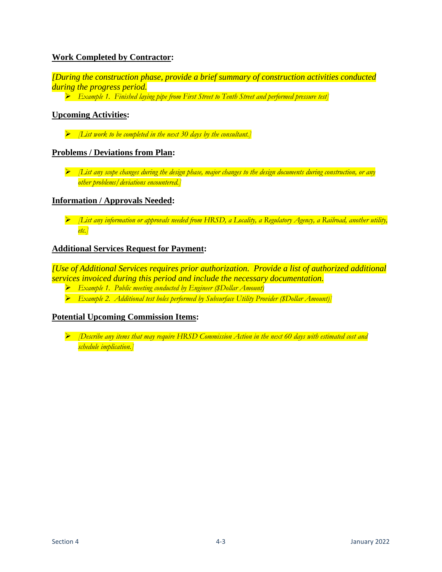# **Work Completed by Contractor:**

*[During the construction phase, provide a brief summary of construction activities conducted during the progress period.* 

*Example 1. Finished laying pipe from First Street to Tenth Street and performed pressure test]*

# **Upcoming Activities:**

*[List work to be completed in the next 30 days by the consultant.]*

## **Problems / Deviations from Plan:**

 *[List any scope changes during the design phase, major changes to the design documents during construction, or any other problems/deviations encountered.]*

#### **Information / Approvals Needed:**

 *[List any information or approvals needed from HRSD, a Locality, a Regulatory Agency, a Railroad, another utility, etc.]* 

## **Additional Services Request for Payment:**

*[Use of Additional Services requires prior authorization. Provide a list of authorized additional services invoiced during this period and include the necessary documentation.* 

- *Example 1. Public meeting conducted by Engineer (\$Dollar Amount)*
- *Example 2. Additional test holes performed by Subsurface Utility Provider (\$Dollar Amount)]*

#### **Potential Upcoming Commission Items:**

 *[Describe any items that may require HRSD Commission Action in the next 60 days with estimated cost and schedule implication.]*